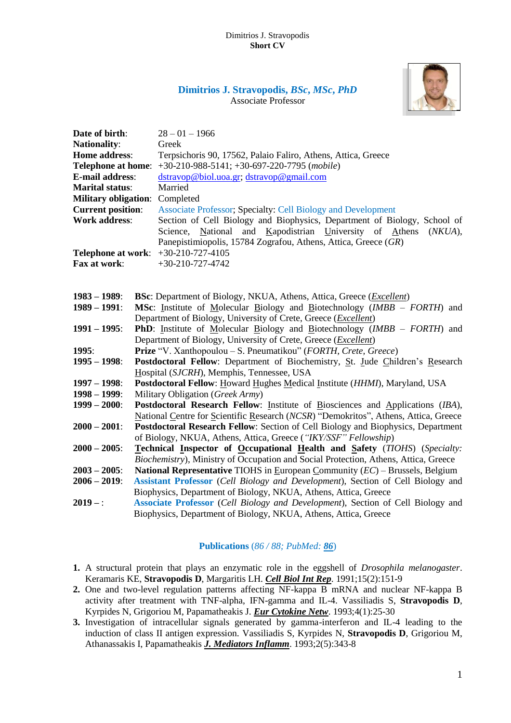

# **Dimitrios J. Stravopodis,** *BSc***,** *MSc***,** *PhD* Associate Professor

| Date of birth:<br><b>Nationality:</b><br>Home address:<br><b>Telephone at home:</b><br><b>E-mail address:</b><br><b>Marital status:</b><br><b>Military obligation:</b><br><b>Current position:</b><br><b>Work address:</b><br><b>Telephone at work:</b><br>Fax at work: | $28 - 01 - 1966$<br>Greek<br>Terpsichoris 90, 17562, Palaio Faliro, Athens, Attica, Greece<br>$+30-210-988-5141$ ; $+30-697-220-7795$ (mobile)<br>dstravop@biol.uoa.gr; dstravop@gmail.com<br>Married<br>Completed<br><b>Associate Professor; Specialty: Cell Biology and Development</b><br>Section of Cell Biology and Biophysics, Department of Biology, School of<br>and Kapodistrian University of<br>National<br>Athens<br>(NKUA),<br>Science,<br>Panepistimiopolis, 15784 Zografou, Athens, Attica, Greece (GR)<br>$+30-210-727-4105$<br>$+30-210-727-4742$                                                                                                                                                                                                |
|-------------------------------------------------------------------------------------------------------------------------------------------------------------------------------------------------------------------------------------------------------------------------|-------------------------------------------------------------------------------------------------------------------------------------------------------------------------------------------------------------------------------------------------------------------------------------------------------------------------------------------------------------------------------------------------------------------------------------------------------------------------------------------------------------------------------------------------------------------------------------------------------------------------------------------------------------------------------------------------------------------------------------------------------------------|
|                                                                                                                                                                                                                                                                         |                                                                                                                                                                                                                                                                                                                                                                                                                                                                                                                                                                                                                                                                                                                                                                   |
| $1983 - 1989$ :<br>$1989 - 1991$ :<br>$1991 - 1995$ :<br>1995:<br>$1995 - 1998$ :<br>$1997 - 1998$ :<br>$1998 - 1999$ :                                                                                                                                                 | <b>BSc:</b> Department of Biology, NKUA, Athens, Attica, Greece ( <i>Excellent</i> )<br><b>MSc:</b> Institute of Molecular Biology and Biotechnology ( $IMBB - FORTH$ ) and<br>Department of Biology, University of Crete, Greece ( <i>Excellent</i> )<br><b>PhD</b> : Institute of Molecular Biology and Biotechnology ( <i>IMBB – FORTH</i> ) and<br>Department of Biology, University of Crete, Greece ( <i>Excellent</i> )<br>Prize "V. Xanthopoulou – S. Pneumatikou" (FORTH, Crete, Greece)<br>Postdoctoral Fellow: Department of Biochemistry, St. Jude Children's Research<br>Hospital (SJCRH), Memphis, Tennessee, USA<br><b>Postdoctoral Fellow:</b> Howard Hughes Medical Institute ( <i>HHMI</i> ), Maryland, USA<br>Military Obligation (Greek Army) |
| $1999 - 2000$ :<br>$2000 - 2001$ :                                                                                                                                                                                                                                      | Postdoctoral Research Fellow: Institute of Biosciences and Applications (IBA),<br>National Centre for Scientific Research (NCSR) "Demokritos", Athens, Attica, Greece<br>Postdoctoral Research Fellow: Section of Cell Biology and Biophysics, Department                                                                                                                                                                                                                                                                                                                                                                                                                                                                                                         |
| $2000 - 2005$ :                                                                                                                                                                                                                                                         | of Biology, NKUA, Athens, Attica, Greece ("IKY/SSF" Fellowship)<br><b>Technical Inspector of Occupational Health and Safety (TIOHS) (Specialty:</b><br>Biochemistry), Ministry of Occupation and Social Protection, Athens, Attica, Greece                                                                                                                                                                                                                                                                                                                                                                                                                                                                                                                        |
| $2003 - 2005$ :<br>$2006 - 2019$ :                                                                                                                                                                                                                                      | <b>National Representative TIOHS</b> in European Community $(EC)$ – Brussels, Belgium<br>Assistant Professor (Cell Biology and Development), Section of Cell Biology and<br>Biophysics, Department of Biology, NKUA, Athens, Attica, Greece                                                                                                                                                                                                                                                                                                                                                                                                                                                                                                                       |
| $2019 -$ :                                                                                                                                                                                                                                                              | Associate Professor (Cell Biology and Development), Section of Cell Biology and<br>Biophysics, Department of Biology, NKUA, Athens, Attica, Greece                                                                                                                                                                                                                                                                                                                                                                                                                                                                                                                                                                                                                |

## **Publications** (*86 / 88; PubMed: 86*)

- **1.** A structural protein [that plays an enzymatic role in the eggshell of](https://www.ncbi.nlm.nih.gov/pubmed/1903086) *Drosophila melanogaster*. Keramaris KE, **Stravopodis D**, Margaritis LH. *Cell Biol Int Rep*. 1991;15(2):151-9
- **2.** [One and two-level regulation patterns affecting NF-kappa B mRNA and nuclear NF-kappa B](https://www.ncbi.nlm.nih.gov/pubmed/8490102)  [activity after treatment with TNF-alpha, IFN-gamma and IL-4.](https://www.ncbi.nlm.nih.gov/pubmed/8490102) Vassiliadis S, **Stravopodis D**, Kyrpides N, Grigoriou M, Papamatheakis J. *Eur Cytokine Netw*. 1993;4(1):25-30
- **3.** [Investigation of intracellular signals generated by gamma-interferon and IL-4 leading to the](https://www.ncbi.nlm.nih.gov/pubmed/18475543)  [induction of class II antigen expression.](https://www.ncbi.nlm.nih.gov/pubmed/18475543) Vassiliadis S, Kyrpides N, **Stravopodis D**, Grigoriou M, Athanassakis I, Papamatheakis *J. Mediators Inflamm*. 1993;2(5):343-8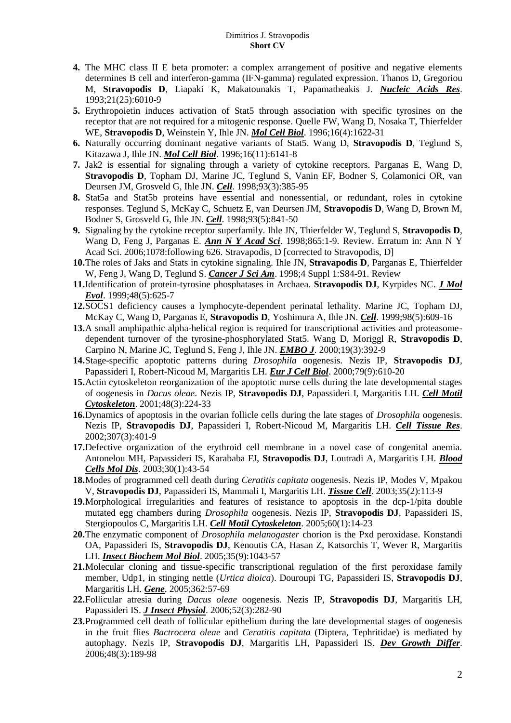- **4.** [The MHC class II E beta promoter: a complex arrangement of positive and negative elements](https://www.ncbi.nlm.nih.gov/pubmed/8290364)  [determines B cell and interferon-gamma \(IFN-gamma\) regulated expression.](https://www.ncbi.nlm.nih.gov/pubmed/8290364) Thanos D, Gregoriou M, **Stravopodis D**, Liapaki K, Makatounakis T, Papamatheakis J. *Nucleic Acids Res*. 1993;21(25):6010-9
- **5.** [Erythropoietin induces activation of Stat5 through association with specific tyrosines on](https://www.ncbi.nlm.nih.gov/pubmed/8657137) the [receptor that are not required for a mitogenic response.](https://www.ncbi.nlm.nih.gov/pubmed/8657137) Quelle FW, Wang D, Nosaka T, Thierfelder WE, **Stravopodis D**, Weinstein Y, Ihle JN. *Mol Cell Biol*. 1996;16(4):1622-31
- **6.** [Naturally occurring dominant negative variants of Stat5.](https://www.ncbi.nlm.nih.gov/pubmed/8887644) Wang D, **Stravopodis D**, Teglund S, Kitazawa J, Ihle JN. *Mol Cell Biol*. 1996;16(11):6141-8
- **7.** [Jak2 is essential for signaling through a variety of cytokine receptors.](https://www.ncbi.nlm.nih.gov/pubmed/9590173) Parganas E, Wang D, **Stravopodis D**, Topham DJ, Marine JC, Teglund S, Vanin EF, Bodner S, Colamonici OR, van Deursen JM, Grosveld G, Ihle JN. *Cell*. 1998;93(3):385-95
- **8.** [Stat5a and Stat5b proteins have essential and nonessential, or redundant, roles in cytokine](https://www.ncbi.nlm.nih.gov/pubmed/9630227)  [responses.](https://www.ncbi.nlm.nih.gov/pubmed/9630227) Teglund S, McKay C, Schuetz E, van Deursen JM, **Stravopodis D**, Wang D, Brown M, Bodner S, Grosveld G, Ihle JN. *Cell*. 1998;93(5):841-50
- **9.** [Signaling by the cytokine receptor superfamily.](https://www.ncbi.nlm.nih.gov/pubmed/9927991) Ihle JN, Thierfelder W, Teglund S, **Stravopodis D**, Wang D, Feng J, Parganas E. *Ann N Y Acad Sci*. 1998;865:1-9. Review. Erratum in: Ann N Y Acad Sci. 2006;1078:following 626. Stravapodis, D [corrected to Stravopodis, D]
- **10.**[The roles of Jaks and Stats in cytokine signaling.](https://www.ncbi.nlm.nih.gov/pubmed/9619276) Ihle JN, **Stravapodis D**, Parganas E, Thierfelder W, Feng J, Wang D, Teglund S. *Cancer J Sci Am*. 1998;4 Suppl 1:S84-91. Review
- **11.**[Identification of protein-tyrosine phosphatases in Archaea.](https://www.ncbi.nlm.nih.gov/pubmed/10198128) **Stravopodis DJ**, Kyrpides NC. *J Mol Evol*. 1999;48(5):625-7
- **12.**[SOCS1 deficiency causes a lymphocyte-dependent perinatal lethality.](https://www.ncbi.nlm.nih.gov/pubmed/10490100) Marine JC, Topham DJ, McKay C, Wang D, Parganas E, **Stravopodis D**, Yoshimura A, Ihle JN. *Cell*. 1999;98(5):609-16
- **13.**[A small amphipathic alpha-helical region is required for transcriptional activities and proteasome](https://www.ncbi.nlm.nih.gov/pubmed/10654938)[dependent turnover of the tyrosine-phosphorylated Stat5.](https://www.ncbi.nlm.nih.gov/pubmed/10654938) Wang D, Moriggl R, **Stravopodis D**, Carpino N, Marine JC, Teglund S, Feng J, Ihle JN. *EMBO J*. 2000;19(3):392-9
- **14.**[Stage-specific apoptotic patterns during](https://www.ncbi.nlm.nih.gov/pubmed/11043402) *Drosophila* oogenesis. Nezis IP, **Stravopodis DJ**, Papassideri I, Robert-Nicoud M, Margaritis LH. *Eur J Cell Biol*. 2000;79(9):610-20
- **15.**[Actin cytoskeleton reorganization of the apoptotic nurse cells during the late developmental stages](https://www.ncbi.nlm.nih.gov/pubmed/11223953)  [of oogenesis in](https://www.ncbi.nlm.nih.gov/pubmed/11223953) *Dacus oleae*. Nezis IP, **Stravopodis DJ**, Papassideri I, Margaritis LH. *Cell Motil Cytoskeleton*. 2001;48(3):224-33
- **16.**[Dynamics of apoptosis in the ovarian follicle cells during the late stages of](https://www.ncbi.nlm.nih.gov/pubmed/11904777) *Drosophila* oogenesis. Nezis IP, **Stravopodis DJ**, Papassideri I, Robert-Nicoud M, Margaritis LH. *Cell Tissue Res*. 2002;307(3):401-9
- **17.**[Defective organization of the erythroid cell membrane in a novel case of congenital anemia.](https://www.ncbi.nlm.nih.gov/pubmed/12667986) Antonelou MH, Papassideri IS, Karababa FJ, **Stravopodis DJ**, Loutradi A, Margaritis LH. *Blood Cells Mol Dis*. 2003;30(1):43-54
- **18.**[Modes of programmed cell death during](https://www.ncbi.nlm.nih.gov/pubmed/12747933) *Ceratitis capitata* oogenesis. Nezis IP, Modes V, Mpakou V, **Stravopodis DJ**, Papassideri IS, Mammali I, Margaritis LH. *Tissue Cell*. 2003;35(2):113-9
- **19.**[Morphological irregularities and features of resistance to apoptosis in the dcp-1/pita double](https://www.ncbi.nlm.nih.gov/pubmed/15547953)  [mutated egg chambers during](https://www.ncbi.nlm.nih.gov/pubmed/15547953) *Drosophila* oogenesis. Nezis IP, **Stravopodis DJ**, Papassideri IS, Stergiopoulos C, Margaritis LH. *Cell Motil Cytoskeleton*. 2005;60(1):14-23
- **20.**The enzymatic component of *Drosophila melanogaster* [chorion is the Pxd peroxidase.](https://www.ncbi.nlm.nih.gov/pubmed/15979004) Konstandi OA, Papassideri IS, **Stravopodis DJ**, Kenoutis CA, Hasan Z, Katsorchis T, Wever R, Margaritis LH. *Insect Biochem Mol Biol*. 2005;35(9):1043-57
- **21.**[Molecular cloning and tissue-specific transcriptional regulation of the first peroxidase family](https://www.ncbi.nlm.nih.gov/pubmed/16219430)  [member, Udp1, in stinging nettle \(](https://www.ncbi.nlm.nih.gov/pubmed/16219430)*Urtica dioica*). Douroupi TG, Papassideri IS, **Stravopodis DJ**, Margaritis LH. *Gene*. 2005;362:57-69
- **22.**[Follicular atresia during](https://www.ncbi.nlm.nih.gov/pubmed/16368106) *Dacus oleae* oogenesis. Nezis IP, **Stravopodis DJ**, Margaritis LH, Papassideri IS. *J Insect Physiol*. 2006;52(3):282-90
- **23.**[Programmed cell death of follicular epithelium during the late developmental stages of oogenesis](https://www.ncbi.nlm.nih.gov/pubmed/16573736)  in the fruit flies *Bactrocera oleae* and *Ceratitis capitata* [\(Diptera, Tephritidae\) is mediated by](https://www.ncbi.nlm.nih.gov/pubmed/16573736)  [autophagy.](https://www.ncbi.nlm.nih.gov/pubmed/16573736) Nezis IP, **Stravopodis DJ**, Margaritis LH, Papassideri IS. *Dev Growth Differ*. 2006;48(3):189-98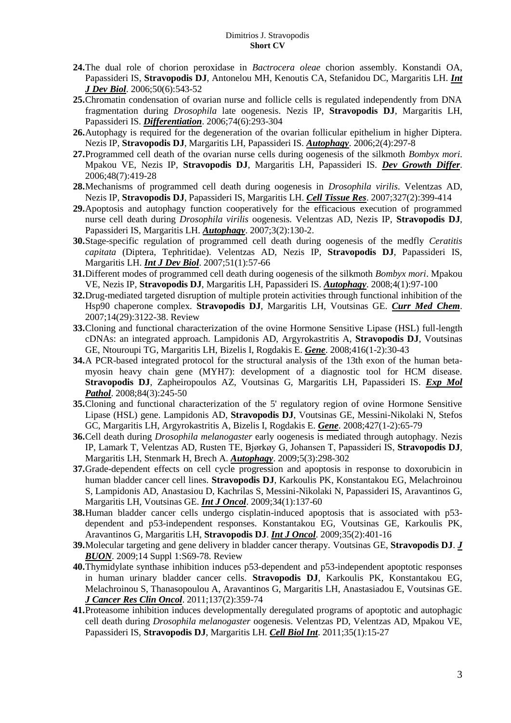- **24.**[The dual role of chorion peroxidase in](https://www.ncbi.nlm.nih.gov/pubmed/16741869) *Bactrocera oleae* chorion assembly. Konstandi OA, Papassideri IS, **Stravopodis DJ**, Antonelou MH, Kenoutis CA, Stefanidou DC, Margaritis LH. *Int J Dev Biol*. 2006;50(6):543-52
- **25.**[Chromatin condensation of ovarian nurse and follicle cells is regulated independently from DNA](https://www.ncbi.nlm.nih.gov/pubmed/16831198)  [fragmentation during](https://www.ncbi.nlm.nih.gov/pubmed/16831198) *Drosophila* late oogenesis. Nezis IP, **Stravopodis DJ**, Margaritis LH, Papassideri IS. *Differentiation*. 2006;74(6):293-304
- **26.**[Autophagy is required for the degeneration of the ovarian follicular epithelium in higher Diptera.](https://www.ncbi.nlm.nih.gov/pubmed/16921270) Nezis IP, **Stravopodis DJ**, Margaritis LH, Papassideri IS. *Autophagy*. 2006;2(4):297-8
- **27.**[Programmed cell death of the ovarian nurse cells during oogenesis of the silkmoth](https://www.ncbi.nlm.nih.gov/pubmed/16961589) *Bombyx mori*. Mpakou VE, Nezis IP, **Stravopodis DJ**, Margaritis LH, Papassideri IS. *Dev Growth Differ*. 2006;48(7):419-28
- **28.**[Mechanisms of programmed cell death during oogenesis in](https://www.ncbi.nlm.nih.gov/pubmed/17004067) *Drosophila virilis*. Velentzas AD, Nezis IP, **Stravopodis DJ**, Papassideri IS, Margaritis LH. *Cell Tissue Res*. 2007;327(2):399-414
- **29.**[Apoptosis and autophagy function cooperatively for the efficacious execution of programmed](https://www.ncbi.nlm.nih.gov/pubmed/17183224)  [nurse cell death during](https://www.ncbi.nlm.nih.gov/pubmed/17183224) *Drosophila virilis* oogenesis. Velentzas AD, Nezis IP, **Stravopodis DJ**, Papassideri IS, Margaritis LH. *Autophagy*. 2007;3(2):130-2.
- **30.**[Stage-specific regulation of programmed cell death during oogenesis of the medfly](https://www.ncbi.nlm.nih.gov/pubmed/17183465) *Ceratitis capitata* [\(Diptera, Tephritidae\).](https://www.ncbi.nlm.nih.gov/pubmed/17183465) Velentzas AD, Nezis IP, **Stravopodis DJ**, Papassideri IS, Margaritis LH. *Int J Dev Biol*. 2007;51(1):57-66
- **31.**[Different modes of programmed cell death during oogenesis of the silkmoth](https://www.ncbi.nlm.nih.gov/pubmed/17986869) *Bombyx mori*. Mpakou VE, Nezis IP, **Stravopodis DJ**, Margaritis LH, Papassideri IS. *Autophagy*. 2008;4(1):97-100
- **32.**[Drug-mediated targeted disruption of multiple protein activities through functional inhibition of the](https://www.ncbi.nlm.nih.gov/pubmed/18220746)  [Hsp90 chaperone complex.](https://www.ncbi.nlm.nih.gov/pubmed/18220746) **Stravopodis DJ**, Margaritis LH, Voutsinas GE. *Curr Med Chem*. 2007;14(29):3122-38. Review
- **33.**[Cloning and functional characterization of the ovine Hormone Sensitive Lipase \(HSL\) full-length](https://www.ncbi.nlm.nih.gov/pubmed/18436396)  [cDNAs: an integrated approach.](https://www.ncbi.nlm.nih.gov/pubmed/18436396) Lampidonis AD, Argyrokastritis A, **Stravopodis DJ**, Voutsinas GE, Ntouroupi TG, Margaritis LH, Bizelis I, Rogdakis E. *Gene*. 2008;416(1-2):30-43
- **34.**[A PCR-based integrated protocol for the structural analysis of the 13th exon of the human beta](https://www.ncbi.nlm.nih.gov/pubmed/18499102)[myosin heavy chain gene \(MYH7\): development of a diagnostic tool for HCM disease.](https://www.ncbi.nlm.nih.gov/pubmed/18499102) **Stravopodis DJ**, Zapheiropoulos AZ, Voutsinas G, Margaritis LH, Papassideri IS. *Exp Mol Pathol*. 2008;84(3):245-50
- **35.**[Cloning and functional characterization of the 5' regulatory region of ovine Hormone Sensitive](https://www.ncbi.nlm.nih.gov/pubmed/18824087)  [Lipase \(HSL\) gene.](https://www.ncbi.nlm.nih.gov/pubmed/18824087) Lampidonis AD, **Stravopodis DJ**, Voutsinas GE, Messini-Nikolaki N, Stefos GC, Margaritis LH, Argyrokastritis A, Bizelis I, Rogdakis E. *Gene*. 2008;427(1-2):65-79
- **36.**Cell death during *Drosophila melanogaster* [early oogenesis is mediated through autophagy.](https://www.ncbi.nlm.nih.gov/pubmed/19066465) Nezis IP, Lamark T, Velentzas AD, Rusten TE, Bjørkøy G, Johansen T, Papassideri IS, **Stravopodis DJ**, Margaritis LH, Stenmark H, Brech A. *Autophagy*. 2009;5(3):298-302
- **37.**[Grade-dependent effects on cell cycle progression and apoptosis in response to doxorubicin in](https://www.ncbi.nlm.nih.gov/pubmed/19082486)  [human bladder cancer cell lines.](https://www.ncbi.nlm.nih.gov/pubmed/19082486) **Stravopodis DJ**, Karkoulis PK, Konstantakou EG, Melachroinou S, Lampidonis AD, Anastasiou D, Kachrilas S, Messini-Nikolaki N, Papassideri IS, Aravantinos G, Margaritis LH, Voutsinas GE. *Int J Oncol*. 2009;34(1):137-60
- **38.**[Human bladder cancer cells undergo cisplatin-induced apoptosis that is associated with p53](https://www.ncbi.nlm.nih.gov/pubmed/19578756) [dependent and p53-independent responses.](https://www.ncbi.nlm.nih.gov/pubmed/19578756) Konstantakou EG, Voutsinas GE, Karkoulis PK, Aravantinos G, Margaritis LH, **Stravopodis DJ**. *Int J Oncol*. 2009;35(2):401-16
- **39.**[Molecular targeting and gene delivery in bladder cancer therapy.](https://www.ncbi.nlm.nih.gov/pubmed/19785072) Voutsinas GE, **Stravopodis DJ**. *J BUON*. 2009;14 Suppl 1:S69-78. Review
- **40.**[Thymidylate synthase inhibition induces p53-dependent and p53-independent apoptotic responses](https://www.ncbi.nlm.nih.gov/pubmed/20425122)  [in human urinary bladder cancer cells.](https://www.ncbi.nlm.nih.gov/pubmed/20425122) **Stravopodis DJ**, Karkoulis PK, Konstantakou EG, Melachroinou S, Thanasopoulou A, Aravantinos G, Margaritis LH, Anastasiadou E, Voutsinas GE. *J Cancer Res Clin Oncol*. 2011;137(2):359-74
- **41.**[Proteasome inhibition induces developmentally deregulated programs of apoptotic and autophagic](https://www.ncbi.nlm.nih.gov/pubmed/20819072)  [cell death during](https://www.ncbi.nlm.nih.gov/pubmed/20819072) *Drosophila melanogaster* oogenesis. Velentzas PD, Velentzas AD, Mpakou VE, Papassideri IS, **Stravopodis DJ**, Margaritis LH. *Cell Biol Int*. 2011;35(1):15-27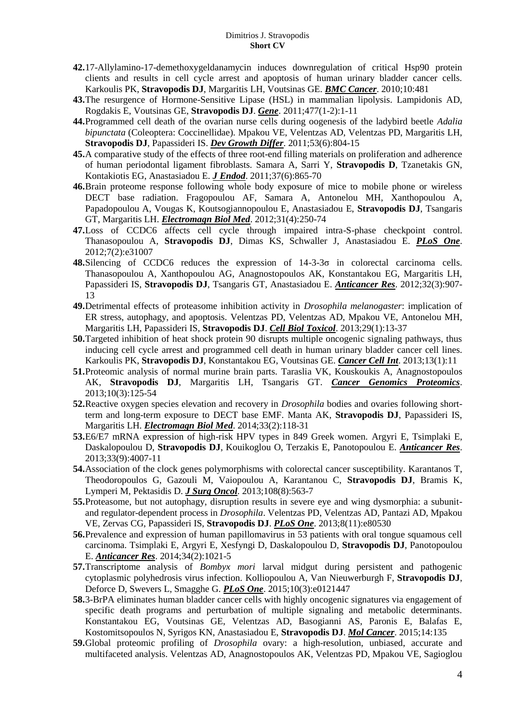- **42.**[17-Allylamino-17-demethoxygeldanamycin induces downregulation of critical Hsp90 protein](https://www.ncbi.nlm.nih.gov/pubmed/20828379)  [clients and results in cell cycle arrest and apoptosis of human urinary bladder cancer cells.](https://www.ncbi.nlm.nih.gov/pubmed/20828379) Karkoulis PK, **Stravopodis DJ**, Margaritis LH, Voutsinas GE. *BMC Cancer*. 2010;10:481
- **43.**[The resurgence of Hormone-Sensitive Lipase \(HSL\) in mammalian lipolysis.](https://www.ncbi.nlm.nih.gov/pubmed/21241784) Lampidonis AD, Rogdakis E, Voutsinas GE, **Stravopodis DJ**. *Gene*. 2011;477(1-2):1-11
- **44.**[Programmed cell death of the ovarian nurse cells during oogenesis of the ladybird beetle](https://www.ncbi.nlm.nih.gov/pubmed/21711456) *Adalia bipunctata* [\(Coleoptera: Coccinellidae\).](https://www.ncbi.nlm.nih.gov/pubmed/21711456) Mpakou VE, Velentzas AD, Velentzas PD, Margaritis LH, **Stravopodis DJ**, Papassideri IS. *Dev Growth Differ*. 2011;53(6):804-15
- **45.**[A comparative study of the effects of three root-end filling materials on proliferation and adherence](https://www.ncbi.nlm.nih.gov/pubmed/21787507)  [of human periodontal ligament fibroblasts.](https://www.ncbi.nlm.nih.gov/pubmed/21787507) Samara A, Sarri Y, **Stravopodis D**, Tzanetakis GN, Kontakiotis EG, Anastasiadou E. *J Endod*. 2011;37(6):865-70
- **46.**[Brain proteome response following whole body exposure of mice to mobile phone or wireless](https://www.ncbi.nlm.nih.gov/pubmed/22263702)  [DECT base radiation.](https://www.ncbi.nlm.nih.gov/pubmed/22263702) Fragopoulou AF, Samara A, Antonelou MH, Xanthopoulou A, Papadopoulou A, Vougas K, Koutsogiannopoulou E, Anastasiadou E, **Stravopodis DJ**, Tsangaris GT, Margaritis LH. *Electromagn Biol Med*. 2012;31(4):250-74
- **47.**[Loss of CCDC6 affects cell cycle through impaired intra-S-phase checkpoint control.](https://www.ncbi.nlm.nih.gov/pubmed/22363533) Thanasopoulou A, **Stravopodis DJ**, Dimas KS, Schwaller J, Anastasiadou E. *PLoS One*. 2012;7(2):e31007
- **48.**[Silencing of CCDC6 reduces the expression of 14-3-3σ](https://www.ncbi.nlm.nih.gov/pubmed/22399611) in colorectal carcinoma cells. Thanasopoulou A, Xanthopoulou AG, Anagnostopoulos AK, Konstantakou EG, Margaritis LH, Papassideri IS, **Stravopodis DJ**, Tsangaris GT, Anastasiadou E. *Anticancer Res*. 2012;32(3):907- 13
- **49.**[Detrimental effects of proteasome inhibition activity in](https://www.ncbi.nlm.nih.gov/pubmed/23161111) *Drosophila melanogaster*: implication of [ER stress, autophagy, and apoptosis.](https://www.ncbi.nlm.nih.gov/pubmed/23161111) Velentzas PD, Velentzas AD, Mpakou VE, Antonelou MH, Margaritis LH, Papassideri IS, **Stravopodis DJ**. *Cell Biol Toxicol*. 2013;29(1):13-37
- **50.**[Targeted inhibition of heat shock protein 90 disrupts multiple oncogenic signaling pathways, thus](https://www.ncbi.nlm.nih.gov/pubmed/23394616)  [inducing cell cycle arrest and programmed cell death in human urinary bladder cancer cell lines.](https://www.ncbi.nlm.nih.gov/pubmed/23394616) Karkoulis PK, **Stravopodis DJ**, Konstantakou EG, Voutsinas GE. *Cancer Cell Int*. 2013;13(1):11
- **51.**[Proteomic analysis of normal murine brain parts.](https://www.ncbi.nlm.nih.gov/pubmed/23741028) Taraslia VK, Kouskoukis A, Anagnostopoulos AK, **Stravopodis DJ**, Margaritis LH, Tsangaris GT. *Cancer Genomics Proteomics*. 2013;10(3):125-54
- **52.**[Reactive oxygen species elevation and recovery in](https://www.ncbi.nlm.nih.gov/pubmed/23781995) *Drosophila* bodies and ovaries following short[term and long-term exposure to DECT base EMF.](https://www.ncbi.nlm.nih.gov/pubmed/23781995) Manta AK, **Stravopodis DJ**, Papassideri IS, Margaritis LH. *Electromagn Biol Med*. 2014;33(2):118-31
- **53.**[E6/E7 mRNA expression of high-risk HPV types in 849 Greek women.](https://www.ncbi.nlm.nih.gov/pubmed/24023342) Argyri E, Tsimplaki E, Daskalopoulou D, **Stravopodis DJ**, Kouikoglou O, Terzakis E, Panotopoulou E. *Anticancer Res*. 2013;33(9):4007-11
- **54.**Association of the clock genes [polymorphisms with colorectal cancer susceptibility.](https://www.ncbi.nlm.nih.gov/pubmed/24037774) Karantanos T, Theodoropoulos G, Gazouli M, Vaiopoulou A, Karantanou C, **Stravopodis DJ**, Bramis K, Lymperi M, Pektasidis D. *J Surg Oncol*. 2013;108(8):563-7
- **55.**[Proteasome, but not autophagy, disruption results in severe eye and wing dysmorphia: a subunit](https://www.ncbi.nlm.nih.gov/pubmed/24282550)[and regulator-dependent process in](https://www.ncbi.nlm.nih.gov/pubmed/24282550) *Drosophila*. Velentzas PD, Velentzas AD, Pantazi AD, Mpakou VE, Zervas CG, Papassideri IS, **Stravopodis DJ**. *PLoS One*. 2013;8(11):e80530
- **56.**[Prevalence and expression of human papillomavirus in 53 patients with oral tongue squamous cell](https://www.ncbi.nlm.nih.gov/pubmed/24511049)  [carcinoma.](https://www.ncbi.nlm.nih.gov/pubmed/24511049) Tsimplaki E, Argyri E, Xesfyngi D, Daskalopoulou D, **Stravopodis DJ**, Panotopoulou E. *Anticancer Res*. 2014;34(2):1021-5
- **57.**Transcriptome analysis of *Bombyx mori* [larval midgut during persistent and pathogenic](https://www.ncbi.nlm.nih.gov/pubmed/25816294)  [cytoplasmic polyhedrosis virus infection.](https://www.ncbi.nlm.nih.gov/pubmed/25816294) Kolliopoulou A, Van Nieuwerburgh F, **Stravopodis DJ**, Deforce D, Swevers L, Smagghe G. *PLoS One*. 2015;10(3):e0121447
- **58.**[3-BrPA eliminates human bladder cancer cells with highly oncogenic signatures via engagement of](https://www.ncbi.nlm.nih.gov/pubmed/26198749)  [specific death programs and perturbation of multiple signaling and metabolic determinants.](https://www.ncbi.nlm.nih.gov/pubmed/26198749) Konstantakou EG, Voutsinas GE, Velentzas AD, Basogianni AS, Paronis E, Balafas E, Kostomitsopoulos N, Syrigos KN, Anastasiadou E, **Stravopodis DJ**. *Mol Cancer*. 2015;14:135
- **59.**Global proteomic profiling of *Drosophila* ovary: a [high-resolution, unbiased, accurate and](https://www.ncbi.nlm.nih.gov/pubmed/26543083)  [multifaceted analysis.](https://www.ncbi.nlm.nih.gov/pubmed/26543083) Velentzas AD, Anagnostopoulos AK, Velentzas PD, Mpakou VE, Sagioglou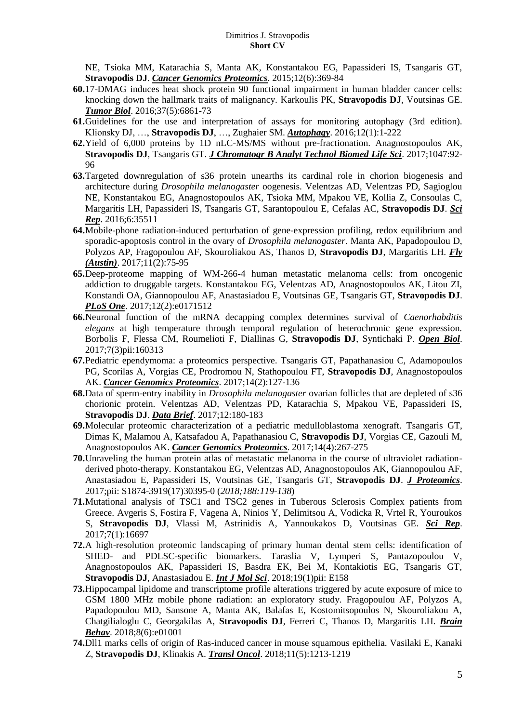NE, Tsioka MM, Katarachia S, Manta AK, Konstantakou EG, Papassideri IS, Tsangaris GT, **Stravopodis DJ**. *Cancer Genomics Proteomics*. 2015;12(6):369-84

- **60.**[17-DMAG induces heat shock protein 90 functional impairment in human bladder cancer cells:](https://www.ncbi.nlm.nih.gov/pubmed/26662567)  [knocking down the hallmark traits of malignancy.](https://www.ncbi.nlm.nih.gov/pubmed/26662567) Karkoulis PK, **Stravopodis DJ**, Voutsinas GE. *Tumor Biol*. 2016;37(5):6861-73
- **61.**[Guidelines for the use and interpretation of assays for monitoring autophagy \(3rd edition\).](https://www.ncbi.nlm.nih.gov/pubmed/26799652) Klionsky DJ, …, **Stravopodis DJ**, …, Zughaier SM. *Autophagy*. 2016;12(1):1-222
- **62.**[Yield of 6,000 proteins by 1D nLC-MS/MS without pre-fractionation.](https://www.ncbi.nlm.nih.gov/pubmed/27605470) Anagnostopoulos AK, **Stravopodis DJ**, Tsangaris GT. *J Chromatogr B Analyt Technol Biomed Life Sci*. 2017;1047:92- 96
- **63.**[Targeted downregulation of s36 protein unearths its cardinal role in chorion biogenesis and](https://www.ncbi.nlm.nih.gov/pubmed/27752139)  [architecture during](https://www.ncbi.nlm.nih.gov/pubmed/27752139) *Drosophila melanogaster* oogenesis. Velentzas AD, Velentzas PD, Sagioglou NE, Konstantakou EG, Anagnostopoulos AK, Tsioka MM, Mpakou VE, Kollia Z, Consoulas C, Margaritis LH, Papassideri IS, Tsangaris GT, Sarantopoulou E, Cefalas AC, **Stravopodis DJ**. *Sci Rep*. 2016;6:35511
- **64.**[Mobile-phone radiation-induced perturbation of gene-expression profiling, redox equilibrium and](https://www.ncbi.nlm.nih.gov/pubmed/27960592)  [sporadic-apoptosis control in the ovary of](https://www.ncbi.nlm.nih.gov/pubmed/27960592) *Drosophila melanogaster*. Manta AK, Papadopoulou D, Polyzos AP, Fragopoulou AF, Skouroliakou AS, Thanos D, **Stravopodis DJ**, Margaritis LH. *Fly (Austin)*. 2017;11(2):75-95
- **65.**Deep-proteome mapping of WM-266-4 [human metastatic melanoma cells: from oncogenic](https://www.ncbi.nlm.nih.gov/pubmed/28158294)  [addiction to druggable targets.](https://www.ncbi.nlm.nih.gov/pubmed/28158294) Konstantakou EG, Velentzas AD, Anagnostopoulos AK, Litou ZI, Konstandi OA, Giannopoulou AF, Anastasiadou E, Voutsinas GE, Tsangaris GT, **Stravopodis DJ**. *PLoS One*. 2017;12(2):e0171512
- **66.**[Neuronal function of the mRNA decapping complex determines survival of](https://www.ncbi.nlm.nih.gov/pubmed/28250105) *Caenorhabditis elegans* [at high temperature through temporal regulation of heterochronic gene expression.](https://www.ncbi.nlm.nih.gov/pubmed/28250105) Borbolis F, Flessa CM, Roumelioti F, Diallinas G, **Stravopodis DJ**, Syntichaki P. *Open Biol*. 2017;7(3)pii:160313
- **67.**[Pediatric ependymoma: a](https://www.ncbi.nlm.nih.gov/pubmed/28387652) proteomics perspective. Tsangaris GT, Papathanasiou C, Adamopoulos PG, Scorilas A, Vorgias CE, Prodromou N, Stathopoulou FT, **Stravopodis DJ**, Anagnostopoulos AK. *Cancer Genomics Proteomics*. 2017;14(2):127-136
- **68.**Data of sperm-entry inability in *Drosophila melanogaster* [ovarian follicles that are depleted of s36](https://www.ncbi.nlm.nih.gov/pubmed/28443296)  [chorionic protein.](https://www.ncbi.nlm.nih.gov/pubmed/28443296) Velentzas AD, Velentzas PD, Katarachia S, Mpakou VE, Papassideri IS, **Stravopodis DJ**. *Data Brief*. 2017;12:180-183
- **69.**[Molecular proteomic characterization of a pediatric medulloblastoma xenograft.](https://www.ncbi.nlm.nih.gov/pubmed/28647700) Tsangaris GT, Dimas K, Malamou A, Katsafadou A, Papathanasiou C, **Stravopodis DJ**, Vorgias CE, Gazouli M, Anagnostopoulos AK. *Cancer Genomics Proteomics*. 2017;14(4):267-275
- **70.**[Unraveling the human protein atlas of metastatic melanoma in the course of ultraviolet radiation](https://www.ncbi.nlm.nih.gov/pubmed/29180045)[derived photo-therapy.](https://www.ncbi.nlm.nih.gov/pubmed/29180045) Konstantakou EG, Velentzas AD, Anagnostopoulos AK, Giannopoulou AF, Anastasiadou E, Papassideri IS, Voutsinas GE, Tsangaris GT, **Stravopodis DJ**. *J Proteomics*. 2017;pii: S1874-3919(17)30395-0 (*2018;188:119-138*)
- **71.**[Mutational analysis of TSC1 and TSC2 genes in Tuberous Sclerosis Complex patients from](https://www.ncbi.nlm.nih.gov/pubmed/29196670)  [Greece.](https://www.ncbi.nlm.nih.gov/pubmed/29196670) Avgeris S, Fostira F, Vagena A, Ninios Y, Delimitsou A, Vodicka R, Vrtel R, Youroukos S, **Stravopodis DJ**, Vlassi M, Astrinidis A, Yannoukakos D, Voutsinas GE. *Sci Rep*. 2017;7(1):16697
- **72.**[A high-resolution proteomic landscaping of primary human dental stem cells: identification of](https://www.ncbi.nlm.nih.gov/pubmed/29304003)  SHED- [and PDLSC-specific biomarkers.](https://www.ncbi.nlm.nih.gov/pubmed/29304003) Taraslia V, Lymperi S, Pantazopoulou V, Anagnostopoulos AK, Papassideri IS, Basdra EK, Bei M, Kontakiotis EG, Tsangaris GT, **Stravopodis DJ**, Anastasiadou E. *Int J Mol Sci*. 2018;19(1)pii: E158
- **73.**[Hippocampal lipidome and transcriptome profile alterations triggered by acute exposure of mice to](https://www.ncbi.nlm.nih.gov/pubmed/29786969)  [GSM 1800 MHz mobile phone radiation: an exploratory study.](https://www.ncbi.nlm.nih.gov/pubmed/29786969) Fragopoulou AF, Polyzos A, Papadopoulou MD, Sansone A, Manta AK, Balafas E, Kostomitsopoulos N, Skouroliakou A, Chatgilialoglu C, Georgakilas A, **Stravopodis DJ**, Ferreri C, Thanos D, Margaritis LH. *Brain Behav*. 2018;8(6):e01001
- **74.**[Dll1 marks cells of origin of Ras-induced cancer in mouse squamous epithelia.](https://www.ncbi.nlm.nih.gov/pubmed/30081298) Vasilaki E, Kanaki Z, **Stravopodis DJ**, Klinakis A. *Transl Oncol*. 2018;11(5):1213-1219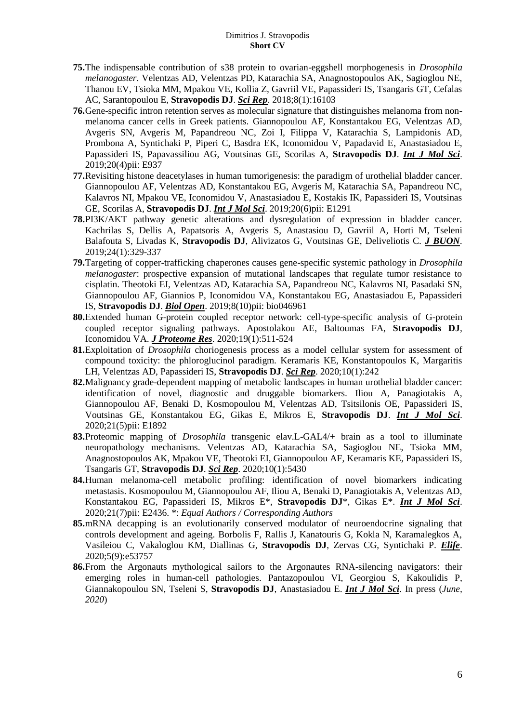- **75.**[The indispensable contribution of s38 protein to ovarian-eggshell morphogenesis in](https://www.ncbi.nlm.nih.gov/pubmed/30382186) *Drosophila [melanogaster](https://www.ncbi.nlm.nih.gov/pubmed/30382186)*. Velentzas AD, Velentzas PD, Katarachia SA, Anagnostopoulos AK, Sagioglou NE, Thanou EV, Tsioka MM, Mpakou VE, Kollia Z, Gavriil VE, Papassideri IS, Tsangaris GT, Cefalas AC, Sarantopoulou E, **Stravopodis DJ**. *Sci Rep*. 2018;8(1):16103
- **76.**[Gene-specific intron retention serves as molecular signature that distinguishes melanoma from non](https://www.ncbi.nlm.nih.gov/pubmed/30795533)[melanoma cancer cells in Greek patients.](https://www.ncbi.nlm.nih.gov/pubmed/30795533) Giannopoulou AF, Konstantakou EG, Velentzas AD, Avgeris SN, Avgeris M, Papandreou NC, Zoi I, Filippa V, Katarachia S, Lampidonis AD, Prombona A, Syntichaki P, Piperi C, Basdra EK, Iconomidou V, Papadavid E, Anastasiadou E, Papassideri IS, Papavassiliou AG, Voutsinas GE, Scorilas A, **Stravopodis DJ**. *Int J Mol Sci*. 2019;20(4)pii: E937
- **77.**[Revisiting histone deacetylases in human tumorigenesis: the paradigm of urothelial bladder cancer.](https://www.ncbi.nlm.nih.gov/pubmed/30875794) Giannopoulou AF, Velentzas AD, Konstantakou EG, Avgeris M, Katarachia SA, Papandreou NC, Kalavros NI, Mpakou VE, Iconomidou V, Anastasiadou E, Kostakis IK, Papassideri IS, Voutsinas GE, Scorilas A, **Stravopodis DJ**. *Int J Mol Sci*. 2019;20(6)pii: E1291
- **78.**[PI3K/AKT pathway genetic alterations and dysregulation of expression in bladder cancer.](https://www.ncbi.nlm.nih.gov/pubmed/30941989) Kachrilas S, Dellis A, Papatsoris A, Avgeris S, Anastasiou D, Gavriil A, Horti M, Tseleni Balafouta S, Livadas K, **Stravopodis DJ**, Alivizatos G, Voutsinas GE, Deliveliotis C. *J BUON*. 2019;24(1):329-337
- **79.**[Targeting of copper-trafficking chaperones causes gene-specific systemic pathology in](https://www.ncbi.nlm.nih.gov/pubmed/31575544) *Drosophila melanogaster*[: prospective expansion of mutational landscapes that regulate tumor resistance to](https://www.ncbi.nlm.nih.gov/pubmed/31575544)  [cisplatin.](https://www.ncbi.nlm.nih.gov/pubmed/31575544) Theotoki EI, Velentzas AD, Katarachia SA, Papandreou NC, Kalavros NI, Pasadaki SN, Giannopoulou AF, Giannios P, Iconomidou VA, Konstantakou EG, Anastasiadou E, Papassideri IS, **Stravopodis DJ**. *Biol Open*. 2019;8(10)pii: bio046961
- **80.**[Extended human G-protein coupled receptor network: cell-type-specific analysis of G-protein](https://www.ncbi.nlm.nih.gov/pubmed/31774292)  [coupled receptor signaling pathways.](https://www.ncbi.nlm.nih.gov/pubmed/31774292) Apostolakou AE, Baltoumas FA, **Stravopodis DJ**, Iconomidou VA. *J Proteome Res*. 2020;19(1):511-524
- **81.**Exploitation of *Drosophila* [choriogenesis process as a model cellular system for assessment of](https://www.ncbi.nlm.nih.gov/pubmed/31937877)  [compound toxicity: the phloroglucinol paradigm.](https://www.ncbi.nlm.nih.gov/pubmed/31937877) Keramaris KE, Konstantopoulos K, Margaritis LH, Velentzas AD, Papassideri IS, **Stravopodis DJ**. *Sci Rep*. 2020;10(1):242
- **82.**Malignancy grade-dependent mapping of metabolic landscapes in human urothelial bladder cancer: identification of novel, diagnostic and druggable biomarkers. Iliou A, Panagiotakis A, Giannopoulou AF, Benaki D, Kosmopoulou M, Velentzas AD, Tsitsilonis OE, Papassideri IS, Voutsinas GE, Konstantakou EG, Gikas E, Mikros E, **Stravopodis DJ**. *Int J Mol Sci*. 2020;21(5)pii: E1892
- **83.**Proteomic mapping of *Drosophila* transgenic elav.L-GAL4/+ brain as a tool to illuminate neuropathology mechanisms. Velentzas AD, Katarachia SA, Sagioglou NE, Tsioka MM, Anagnostopoulos AK, Mpakou VE, Theotoki EI, Giannopoulou AF, Keramaris KE, Papassideri IS, Tsangaris GT, **Stravopodis DJ**. *Sci Rep*. 2020;10(1):5430
- **84.**Human melanoma-cell metabolic profiling: identification of novel biomarkers indicating metastasis. Kosmopoulou M, Giannopoulou AF, Iliou A, Benaki D, Panagiotakis A, Velentzas AD, Konstantakou EG, Papassideri IS, Mikros E\*, **Stravopodis DJ**\*, Gikas E\*. *Int J Mol Sci*. 2020;21(7)pii: E2436. \*: *Equal Authors / Corresponding Authors*
- **85.**mRNA decapping is an evolutionarily conserved modulator of neuroendocrine signaling that controls development and ageing. Borbolis F, Rallis J, Kanatouris G, Kokla N, Karamalegkos A, Vasileiou C, Vakaloglou KM, Diallinas G, **Stravopodis DJ**, Zervas CG, Syntichaki P. *Elife*. 2020;5(9):e53757
- **86.**From the Argonauts mythological sailors to the Argonautes RNA-silencing navigators: their emerging roles in human-cell pathologies. Pantazopoulou VI, Georgiou S, Kakoulidis P, Giannakopoulou SN, Tseleni S, **Stravopodis DJ**, Anastasiadou E. *Int J Mol Sci*. In press (*June, 2020*)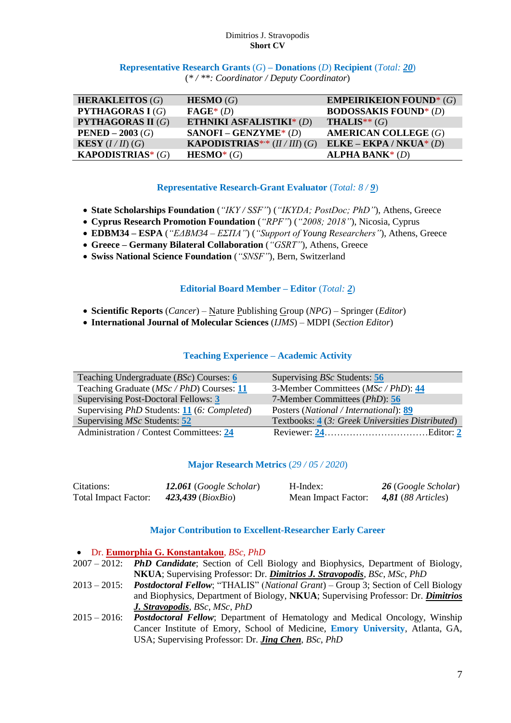**Representative Research Grants** (*G*) **– Donations** (*D*) **Recipient** (*Total: 20*) (*\* / \*\*: Coordinator / Deputy Coordinator*)

| <b>HERAKLEITOS</b> $(G)$   | HESMO(G)                             | <b>EMPEIRIKEION FOUND*</b> $(G)$ |
|----------------------------|--------------------------------------|----------------------------------|
| <b>PYTHAGORAS I (G)</b>    | $\textbf{FAGE}^*(D)$                 | <b>BODOSSAKIS FOUND*</b> (D)     |
| <b>PYTHAGORAS II (G)</b>   | ETHNIKI ASFALISTIKI* (D)             | <b>THALIS**</b> $(G)$            |
| <b>PENED</b> – 2003 (G)    | $SANOFI - GENZYME* (D)$              | <b>AMERICAN COLLEGE (G)</b>      |
| <b>KESY</b> $(I/II)$ (G)   | <b>KAPODISTRIAS</b> ** $(II/III)(G)$ | $ELKE - EKPA / NKUA * (D)$       |
| <b>KAPODISTRIAS*</b> $(G)$ | $HESMO^*(G)$                         | ALPHA BANK $*(D)$                |

## **Representative Research-Grant Evaluator** (*Total: 8 / 9*)

- **State Scholarships Foundation** (*"IKY / SSF"*) (*"IKYDA; PostDoc; PhD"*), Athens, Greece
- **Cyprus Research Promotion Foundation** (*"RPF"*) (*"2008; 2018"*), Nicosia, Cyprus
- **EDBM34 – ESPA** (*"ΕΔΒΜ34 – ΕΣΠΑ"*) (*"Support of Young Researchers"*), Athens, Greece
- **Greece – Germany Bilateral Collaboration** (*"GSRT"*), Athens, Greece
- **Swiss National Science Foundation** (*"SNSF"*), Bern, Switzerland

# **Editorial Board Member – Editor** (*Total: 2*)

- **Scientific Reports** (*Cancer*) Nature Publishing Group (*NPG*) Springer (*Editor*)
- **International Journal of Molecular Sciences** (*IJMS*) MDPI (*Section Editor*)

# **Teaching Experience – Academic Activity**

| Teaching Undergraduate $(BSc)$ Courses: 6                         | Supervising <i>BSc</i> Students: 56              |
|-------------------------------------------------------------------|--------------------------------------------------|
| Teaching Graduate (MSc / PhD) Courses: 11                         | 3-Member Committees ( <i>MSc / PhD</i> ): 44     |
| Supervising Post-Doctoral Fellows: 3                              | 7-Member Committees ( <i>PhD</i> ): 56           |
| Supervising <i>PhD</i> Students: <b>11</b> (6: <i>Completed</i> ) | Posters (National / International): 89           |
| Supervising <i>MSc</i> Students: 52                               | Textbooks: 4 (3: Greek Universities Distributed) |
| Administration / Contest Committees: 24                           |                                                  |

## **Major Research Metrics** (*29 / 05 / 2020*)

| Citations:                  | 12.061 (Google Scholar)    | H-Index:            | 26 (Google Scholar)  |
|-----------------------------|----------------------------|---------------------|----------------------|
| <b>Total Impact Factor:</b> | 423,439 ( <i>BioxBio</i> ) | Mean Impact Factor: | $4,81$ (88 Articles) |

## **Major Contribution to Excellent-Researcher Early Career**

### Dr. **Eumorphia G. Konstantakou**, *BSc*, *PhD*

- 2007 2012: *PhD Candidate*; Section of Cell Biology and Biophysics, Department of Biology, **NKUA**; Supervising Professor: Dr. *Dimitrios J. Stravopodis*, *BSc*, *MSc*, *PhD*
- 2013 2015: *Postdoctoral Fellow*; "THALIS" (*National Grant*) Group 3; Section of Cell Biology and Biophysics, Department of Biology, **NKUA**; Supervising Professor: Dr. *Dimitrios J. Stravopodis*, *BSc*, *MSc*, *PhD*
- 2015 2016: *Postdoctoral Fellow*; Department of Hematology and Medical Oncology, Winship Cancer Institute of Emory, School of Medicine, **Emory University**, Atlanta, GA, USA; Supervising Professor: Dr. *Jing Chen*, *BSc*, *PhD*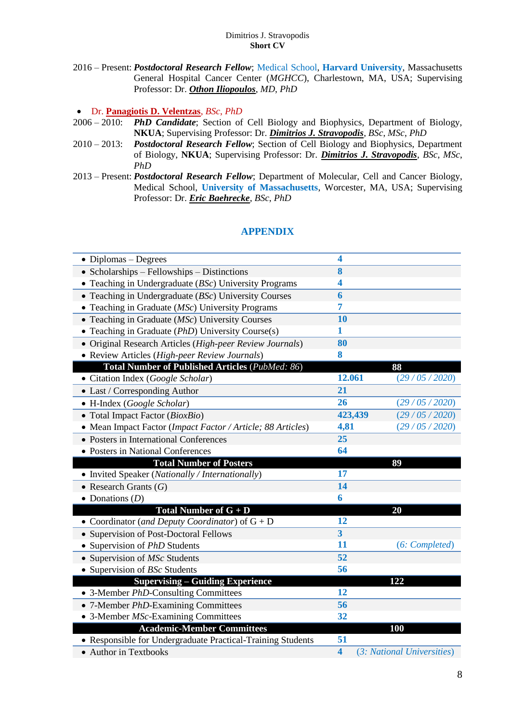2016 – Present: *Postdoctoral Research Fellow*; Medical School, **Harvard University**, Massachusetts General Hospital Cancer Center (*MGHCC*), Charlestown, MA, USA; Supervising Professor: Dr. *Othon Iliopoulos*, *MD*, *PhD*

## Dr. **Panagiotis D. Velentzas**, *BSc*, *PhD*

- 2006 2010: *PhD Candidate*; Section of Cell Biology and Biophysics, Department of Biology, **NKUA**; Supervising Professor: Dr. *Dimitrios J. Stravopodis*, *BSc*, *MSc*, *PhD*
- 2010 2013: *Postdoctoral Research Fellow*; Section of Cell Biology and Biophysics, Department of Biology, **NKUA**; Supervising Professor: Dr. *Dimitrios J. Stravopodis*, *BSc*, *MSc*, *PhD*
- 2013 Present: *Postdoctoral Research Fellow*; Department of Molecular, Cell and Cancer Biology, Medical School, **University of Massachusetts**, Worcester, MA, USA; Supervising Professor: Dr. *Eric Baehrecke*, *BSc*, *PhD*

# **APPENDIX**

| $\bullet$ Diplomas – Degrees                                     | 4                       |                            |
|------------------------------------------------------------------|-------------------------|----------------------------|
| • Scholarships $-$ Fellowships $-$ Distinctions                  | 8                       |                            |
| • Teaching in Undergraduate $(BSc)$ University Programs          | 4                       |                            |
| • Teaching in Undergraduate ( $BSc$ ) University Courses         | 6                       |                            |
| • Teaching in Graduate (MSc) University Programs                 | 7                       |                            |
| $\bullet$ Teaching in Graduate ( <i>MSc</i> ) University Courses | 10                      |                            |
| • Teaching in Graduate (PhD) University Course(s)                | 1                       |                            |
| · Original Research Articles (High-peer Review Journals)         | 80                      |                            |
| • Review Articles (High-peer Review Journals)                    | 8                       |                            |
| Total Number of Published Articles (PubMed: 86)                  |                         | 88                         |
| • Citation Index (Google Scholar)                                | 12.061                  | (29/05/2020)               |
| • Last / Corresponding Author                                    | 21                      |                            |
| • H-Index (Google Scholar)                                       | 26                      | (29/05/2020)               |
| $\bullet$ Total Impact Factor ( <i>BioxBio</i> )                 | 423,439                 | (29/05/2020)               |
| • Mean Impact Factor (Impact Factor / Article; 88 Articles)      | 4,81                    | (29/05/2020)               |
| • Posters in International Conferences                           | 25                      |                            |
| • Posters in National Conferences                                | 64                      |                            |
| <b>Total Number of Posters</b>                                   |                         | 89                         |
| • Invited Speaker (Nationally / Internationally)                 | 17                      |                            |
| • Research Grants $(G)$                                          | 14                      |                            |
| • Donations $(D)$                                                | 6                       |                            |
| Total Number of $G + D$                                          |                         | 20                         |
| • Coordinator (and Deputy Coordinator) of $G + D$                | 12                      |                            |
| • Supervision of Post-Doctoral Fellows                           | $\overline{\mathbf{3}}$ |                            |
| • Supervision of <i>PhD</i> Students                             | 11                      | (6: Completed)             |
| • Supervision of MSc Students                                    | 52                      |                            |
| • Supervision of BSc Students                                    | 56                      |                            |
| <b>Supervising – Guiding Experience</b>                          |                         | 122                        |
| • 3-Member <i>PhD</i> -Consulting Committees                     | 12                      |                            |
| • 7-Member PhD-Examining Committees                              | 56                      |                            |
| • 3-Member <i>MSc</i> -Examining Committees                      | 32                      |                            |
| <b>Academic-Member Committees</b>                                |                         | 100                        |
| • Responsible for Undergraduate Practical-Training Students      | 51                      |                            |
| <b>Author in Textbooks</b><br>$\bullet$                          | $\overline{\mathbf{4}}$ | (3: National Universities) |